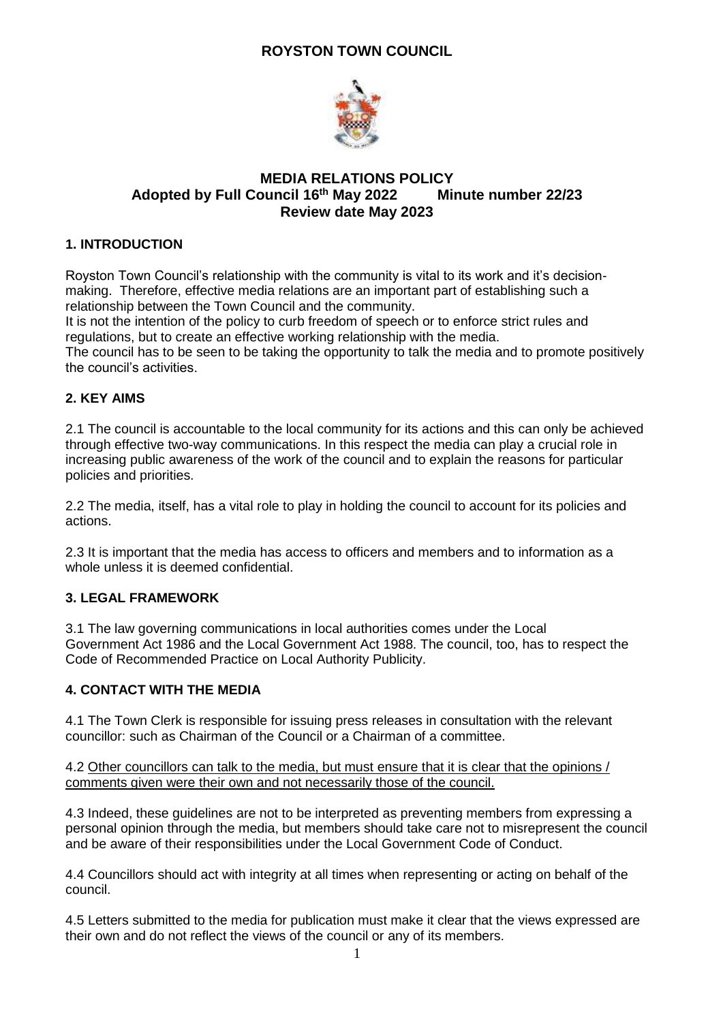# **ROYSTON TOWN COUNCIL**



#### **MEDIA RELATIONS POLICY Adopted by Full Council 16 Minute number 22/23 Review date May 2023**

# **1. INTRODUCTION**

Royston Town Council's relationship with the community is vital to its work and it's decisionmaking. Therefore, effective media relations are an important part of establishing such a relationship between the Town Council and the community.

It is not the intention of the policy to curb freedom of speech or to enforce strict rules and regulations, but to create an effective working relationship with the media.

The council has to be seen to be taking the opportunity to talk the media and to promote positively the council's activities.

# **2. KEY AIMS**

2.1 The council is accountable to the local community for its actions and this can only be achieved through effective two-way communications. In this respect the media can play a crucial role in increasing public awareness of the work of the council and to explain the reasons for particular policies and priorities.

2.2 The media, itself, has a vital role to play in holding the council to account for its policies and actions.

2.3 It is important that the media has access to officers and members and to information as a whole unless it is deemed confidential.

# **3. LEGAL FRAMEWORK**

3.1 The law governing communications in local authorities comes under the Local Government Act 1986 and the Local Government Act 1988. The council, too, has to respect the Code of Recommended Practice on Local Authority Publicity.

### **4. CONTACT WITH THE MEDIA**

4.1 The Town Clerk is responsible for issuing press releases in consultation with the relevant councillor: such as Chairman of the Council or a Chairman of a committee.

#### 4.2 Other councillors can talk to the media, but must ensure that it is clear that the opinions / comments given were their own and not necessarily those of the council.

4.3 Indeed, these guidelines are not to be interpreted as preventing members from expressing a personal opinion through the media, but members should take care not to misrepresent the council and be aware of their responsibilities under the Local Government Code of Conduct.

4.4 Councillors should act with integrity at all times when representing or acting on behalf of the council.

4.5 Letters submitted to the media for publication must make it clear that the views expressed are their own and do not reflect the views of the council or any of its members.